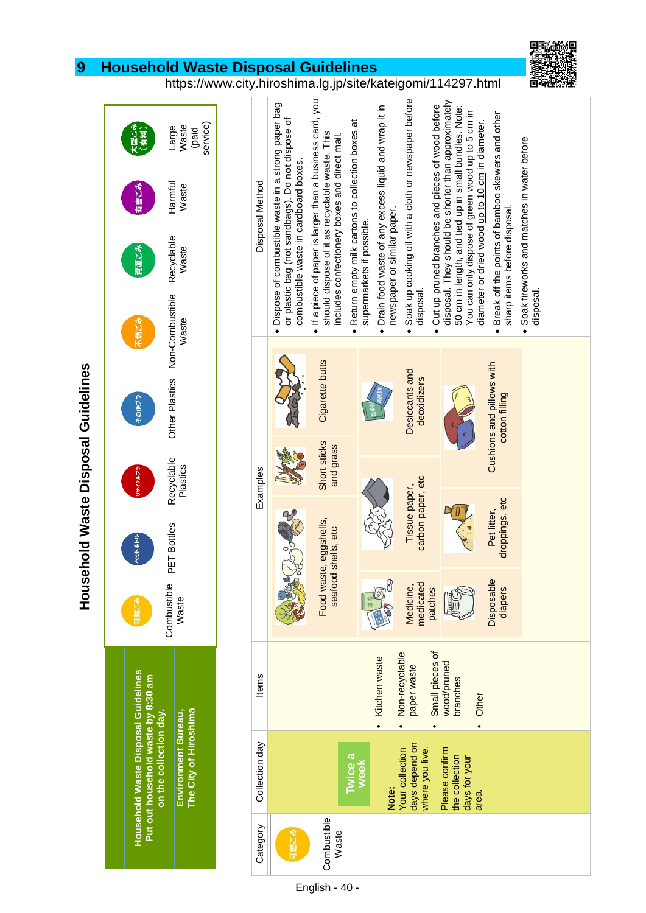## **9 Household Waste Disposal Guidelines**



https://www.city.hiroshima.lg.jp/site/kateigomi/114297.html

Large Waste (paid service) 【型ごみ】<br>(有料) Harmful Waste 有害にみ Recyclable Waste 資源ごみ Other Plastics Non-Combustible Other Plastics Non-Combustible Waste に燃こる その他ブラ Recyclable<br>Plastics PET Bottles Recyclable サイクルプ Combustible PET Bottles<br>Waste Combustible **Household Waste Disposal Guidelines Household Waste Disposal Guidelines ut out household waste by 8:30 am** Environment Bureau,<br>The City of Hiroshima **on the collection day. The City of Hiroshima Environment Bureau,**

**P**

**Household Waste Disposal Guidelines**

**Household Waste Disposal Guidelines** 

| Disposal Method | · Dispose of combustible waste in a strong paper bag<br>or plastic bag (not sandbags). Do not dispose of<br>combustible waste in cardboard boxes. | If a piece of paper is larger than a business card, you<br>should dispose of it as recyclable waste. This<br>includes confectionery boxes and direct mail.<br>$\bullet$ | . Return empty milk cartons to collection boxes at<br>supermarkets if possible. | • Drain food waste of any excess liquid and wrap it in<br>newspaper or similar paper. | Soak up cooking oil with a cloth or newspaper before<br>disposal<br>$\bullet$ | • Cut up pruned branches and pieces of wood before | disposal. They should be shorter than approximately<br>50 cm in length, and tied up in small bundles. Note:<br>You can only dispose of green wood up to 5 cm in<br>diameter or dried wood up to 10 cm in diameter. | Break off the points of bamboo skewers and other<br>sharp items before disposal.<br>$\bullet$ | Soak fireworks and matches in water before<br>disposal |
|-----------------|---------------------------------------------------------------------------------------------------------------------------------------------------|-------------------------------------------------------------------------------------------------------------------------------------------------------------------------|---------------------------------------------------------------------------------|---------------------------------------------------------------------------------------|-------------------------------------------------------------------------------|----------------------------------------------------|--------------------------------------------------------------------------------------------------------------------------------------------------------------------------------------------------------------------|-----------------------------------------------------------------------------------------------|--------------------------------------------------------|
|                 |                                                                                                                                                   | Cigarette butts                                                                                                                                                         |                                                                                 |                                                                                       | Desiccants and<br>deoxidizers                                                 |                                                    |                                                                                                                                                                                                                    | Cushions and pillows with<br>cotton filling                                                   |                                                        |
| Examples        |                                                                                                                                                   | Short sticks<br>and grass                                                                                                                                               |                                                                                 |                                                                                       |                                                                               |                                                    |                                                                                                                                                                                                                    |                                                                                               |                                                        |
|                 |                                                                                                                                                   | ste, eggshells,<br>seafood shells, etc                                                                                                                                  |                                                                                 |                                                                                       | carbon paper, etc<br>Tissue paper,                                            |                                                    |                                                                                                                                                                                                                    | droppings, etc<br>Pet litter,                                                                 |                                                        |
|                 |                                                                                                                                                   | Food wa                                                                                                                                                                 |                                                                                 |                                                                                       | medicated<br>Medicine,<br>patches                                             |                                                    |                                                                                                                                                                                                                    | Disposable<br>diapers                                                                         |                                                        |
| ltems           |                                                                                                                                                   |                                                                                                                                                                         |                                                                                 | • Kitchen waste                                                                       | Non-recyclable<br>paper waste                                                 | Small pieces of                                    | wood/pruned<br>branches<br>Other                                                                                                                                                                                   |                                                                                               |                                                        |
| Collection day  |                                                                                                                                                   | Twice a                                                                                                                                                                 | week                                                                            | Note:                                                                                 | days depend on<br><b>Your collection</b><br>where you live.                   |                                                    | Please confirm<br>the collection<br>days for your<br>area.                                                                                                                                                         |                                                                                               |                                                        |
| Category        |                                                                                                                                                   | Combustible<br>Waste                                                                                                                                                    |                                                                                 |                                                                                       |                                                                               |                                                    |                                                                                                                                                                                                                    |                                                                                               |                                                        |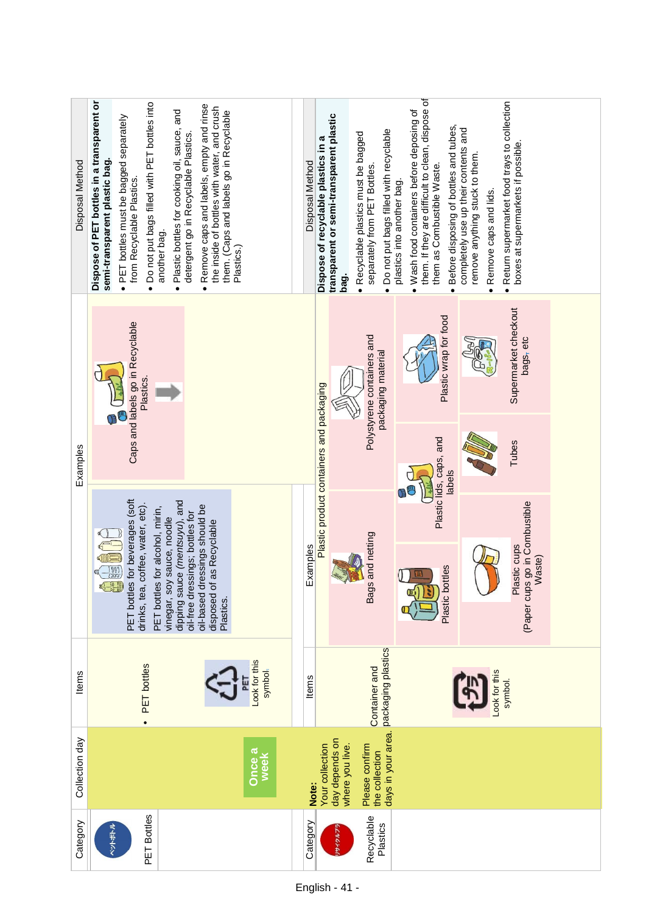| Disposal Method | Dispose of PET bottles in a transparent or<br>Do not put bags filled with PET bottles into<br>Remove caps and labels, empty and rinse<br>the inside of bottles with water, and crush<br>Plastic bottles for cooking oil, sauce, and<br>them. (Caps and labels go in Recyclable<br>· PET bottles must be bagged separately<br>detergent go in Recyclable Plastics.<br>semi-transparent plastic bag.<br>from Recyclable Plastics.<br>another bag.<br>Plastics.)<br>$\bullet$<br>$\bullet$<br>$\bullet$ | them. If they are difficult to clean, dispose of<br>Return supermarket food trays to collection<br>· Wash food containers before deposing of<br>transparent or semi-transparent plastic<br>Before disposing of bottles and tubes,<br>completely use up their contents and<br>Do not put bags filled with recyclable<br>Recyclable plastics must be bagged<br>Dispose of recyclable plastics in a<br>boxes at supermarkets if possible.<br>remove anything stuck to them.<br>Disposal Method<br>them as Combustible Waste.<br>separately from PET Bottles.<br>plastics into another bag.<br>Remove caps and lids.<br>bag. |  |
|-----------------|------------------------------------------------------------------------------------------------------------------------------------------------------------------------------------------------------------------------------------------------------------------------------------------------------------------------------------------------------------------------------------------------------------------------------------------------------------------------------------------------------|--------------------------------------------------------------------------------------------------------------------------------------------------------------------------------------------------------------------------------------------------------------------------------------------------------------------------------------------------------------------------------------------------------------------------------------------------------------------------------------------------------------------------------------------------------------------------------------------------------------------------|--|
|                 | Caps and labels go in Recyclable<br>Plastics.                                                                                                                                                                                                                                                                                                                                                                                                                                                        | Supermarket checkout<br>Plastic wrap for food<br>Polystyrene containers and<br>bags <sub>z</sub> etc<br>packaging material                                                                                                                                                                                                                                                                                                                                                                                                                                                                                               |  |
| Examples        |                                                                                                                                                                                                                                                                                                                                                                                                                                                                                                      | Plastic product containers and packaging<br>Plastic lids, caps, and<br>Tubes<br>labels                                                                                                                                                                                                                                                                                                                                                                                                                                                                                                                                   |  |
|                 | PET bottles for beverages (soft<br>dipping sauce (mentsuyu), and<br>coffee, water, etc).<br>oil-based dressings should be<br>PET bottles for alcohol, mirin,<br>oil-free dressings; bottles for<br>vinegar, soy sauce, noodle<br>disposed of as Recyclable<br>$\frac{1000}{\sqrt{2000}}$                                                                                                                                                                                                             | (Paper cups go in Combustible<br>and netting<br>Plastic cups<br>Examples<br>Waste)                                                                                                                                                                                                                                                                                                                                                                                                                                                                                                                                       |  |
|                 | $\frac{1}{\sqrt{2}}$<br>drinks, tea,<br>Plastics.                                                                                                                                                                                                                                                                                                                                                                                                                                                    | Plastic bottles<br><b>Bags</b><br>Š                                                                                                                                                                                                                                                                                                                                                                                                                                                                                                                                                                                      |  |
| Items           | Look for this<br>PET bottles<br>symbol-<br>$\bullet$                                                                                                                                                                                                                                                                                                                                                                                                                                                 | packaging plastics<br>Container and<br>Look for this<br>ltems<br>symbol.                                                                                                                                                                                                                                                                                                                                                                                                                                                                                                                                                 |  |
| Collection day  | Once a<br>week                                                                                                                                                                                                                                                                                                                                                                                                                                                                                       | days in your area.<br>day depends on<br>Your collection<br>Please confirm<br>where you live.<br>the collection<br>Note:                                                                                                                                                                                                                                                                                                                                                                                                                                                                                                  |  |
| Category        | PET Bottles<br>ペットボトル                                                                                                                                                                                                                                                                                                                                                                                                                                                                                | Recyclable<br>Category<br>Plastics<br>サイクルプ                                                                                                                                                                                                                                                                                                                                                                                                                                                                                                                                                                              |  |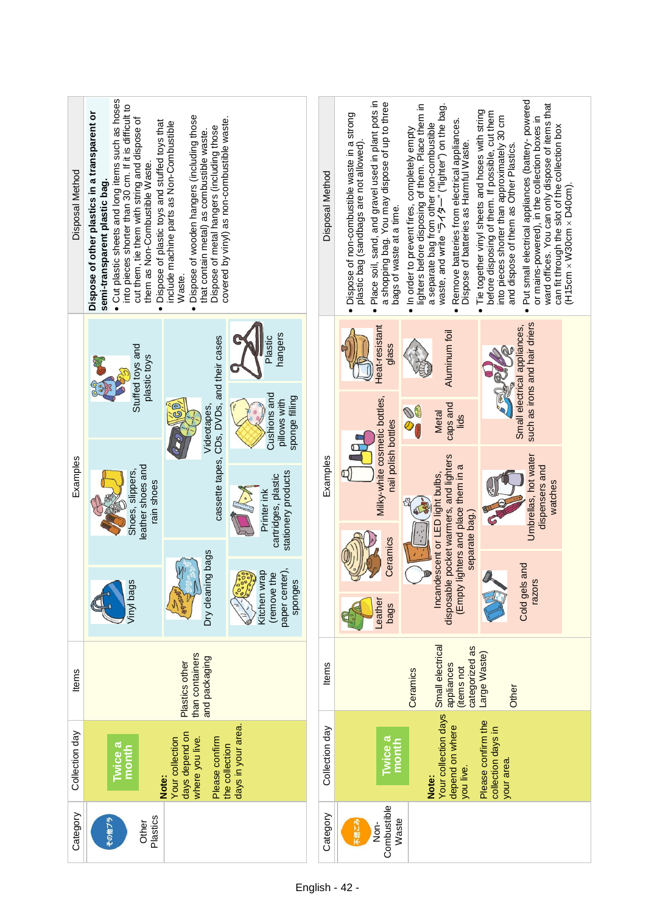| Disposal Method | Cut plastic sheets and long items such as hoses<br>into pieces shorter than 30 cm. If it is difficult to<br>Dispose of other plastics in a transparent or<br>cut them, tie them with string and dispose of<br>Dispose of plastic toys and stuffed toys that<br>them as Non-Combustible Waste.<br>semi-transparent plastic bag.<br>$\bullet$<br>$\bullet$ | Dispose of wooden hangers (including those<br>covered by vinyl) as non-combustible waste.<br>include machine parts as Non-Combustible<br>Dispose of metal hangers (including those<br>that contain metal) as combustible waste.<br>Waste.<br>$\bullet$ |                                                                       | Disposal Method                                | Place soil, sand, and gravel used in plant pots in<br>a shopping bag. You may dispose of up to three<br>· Dispose of non-combustible waste in a strong<br>plastic bag (sandbags are not allowed).<br>bags of waste at a time.<br>$\bullet$ | lighters before disposing of them. Place them in<br>waste, and write "ライター" ("lighter") on the bag.<br>Remove batteries from electrical appliances.<br>a separate bag from other non-combustible<br>• In order to prevent fires, completely empty<br>Dispose of batteries as Harmful Waste.<br>$\bullet$ | Put small electrical appliances (battery-powered<br>ward offices. You can only dispose of items that<br>Tie together vinyl sheets and hoses with string<br>before disposing of them. If possible, cut them<br>into pieces shorter than approximately 30 cm<br>or mains-powered), in the collection boxes in<br>can fit through the slot of the collection box<br>and dispose of them as Other Plastics.<br>$(H15cm \times W30cm \times D40cm)$ .<br>$\bullet$<br>$\bullet$ |  |
|-----------------|----------------------------------------------------------------------------------------------------------------------------------------------------------------------------------------------------------------------------------------------------------------------------------------------------------------------------------------------------------|--------------------------------------------------------------------------------------------------------------------------------------------------------------------------------------------------------------------------------------------------------|-----------------------------------------------------------------------|------------------------------------------------|--------------------------------------------------------------------------------------------------------------------------------------------------------------------------------------------------------------------------------------------|----------------------------------------------------------------------------------------------------------------------------------------------------------------------------------------------------------------------------------------------------------------------------------------------------------|----------------------------------------------------------------------------------------------------------------------------------------------------------------------------------------------------------------------------------------------------------------------------------------------------------------------------------------------------------------------------------------------------------------------------------------------------------------------------|--|
|                 | Stuffed toys and<br>plastic toys                                                                                                                                                                                                                                                                                                                         | cassette tapes, CDs, DVDs, and their cases                                                                                                                                                                                                             | hangers<br>Plastic                                                    |                                                | Heat-resistant<br>glass                                                                                                                                                                                                                    | Aluminum foil                                                                                                                                                                                                                                                                                            | such as irons and hair driers<br>Small electrical appliances,                                                                                                                                                                                                                                                                                                                                                                                                              |  |
|                 |                                                                                                                                                                                                                                                                                                                                                          |                                                                                                                                                                                                                                                        | ම<br>Videotapes,                                                      | Cushions and<br>sponge filling<br>pillows with |                                                                                                                                                                                                                                            | Milky-white cosmetic bottles,<br>nail polish bottles                                                                                                                                                                                                                                                     | caps and<br><b>Metal</b><br>lids                                                                                                                                                                                                                                                                                                                                                                                                                                           |  |
| Examples        | leather shoes and<br>Shoes, slippers,<br>rain shoes                                                                                                                                                                                                                                                                                                      |                                                                                                                                                                                                                                                        | stationery products<br>cartridges, plastic<br>Printer ink             | Examples                                       |                                                                                                                                                                                                                                            | lighters and place them in a                                                                                                                                                                                                                                                                             | Umbrellas, hot water<br>dispensers and<br>watches                                                                                                                                                                                                                                                                                                                                                                                                                          |  |
|                 | Vinyl bags                                                                                                                                                                                                                                                                                                                                               | Dry cleaning bags                                                                                                                                                                                                                                      | paper center),<br>Kitchen wrap<br>(remove the<br>Coool Coo<br>sponges |                                                | Ceramics<br>-eather<br>bags                                                                                                                                                                                                                | disposable pocket warmers, and lighters<br>Incandescent or LED light bulbs,<br>separate bag.)<br>(Empty                                                                                                                                                                                                  | Cold gels and<br>ω,<br>razor:                                                                                                                                                                                                                                                                                                                                                                                                                                              |  |
| ltems           | than containers<br>and packaging<br>Plastics other                                                                                                                                                                                                                                                                                                       |                                                                                                                                                                                                                                                        |                                                                       | <b>Items</b>                                   |                                                                                                                                                                                                                                            | Large Waste)<br>Other                                                                                                                                                                                                                                                                                    |                                                                                                                                                                                                                                                                                                                                                                                                                                                                            |  |
| Collection day  | days in your area.<br><b>Ewice a</b><br>month                                                                                                                                                                                                                                                                                                            |                                                                                                                                                                                                                                                        |                                                                       | Collection day                                 | wice a<br>month                                                                                                                                                                                                                            | Small electrical<br>categorized as<br>appliances<br>(items not<br>Ceramics<br>Your collection days<br>depend on where                                                                                                                                                                                    | Please confirm the<br>collection days in                                                                                                                                                                                                                                                                                                                                                                                                                                   |  |
|                 |                                                                                                                                                                                                                                                                                                                                                          | days depend on<br>where you live.<br>Your collection<br>Please confirm<br>Note:                                                                                                                                                                        | the collection                                                        |                                                |                                                                                                                                                                                                                                            | you live.<br>Note:                                                                                                                                                                                                                                                                                       | your area.                                                                                                                                                                                                                                                                                                                                                                                                                                                                 |  |
| Category        | Plastics<br>Other<br>その他ブ                                                                                                                                                                                                                                                                                                                                |                                                                                                                                                                                                                                                        |                                                                       | Category                                       | Combustible<br>Waste<br>不燃こみ<br>Non-                                                                                                                                                                                                       |                                                                                                                                                                                                                                                                                                          |                                                                                                                                                                                                                                                                                                                                                                                                                                                                            |  |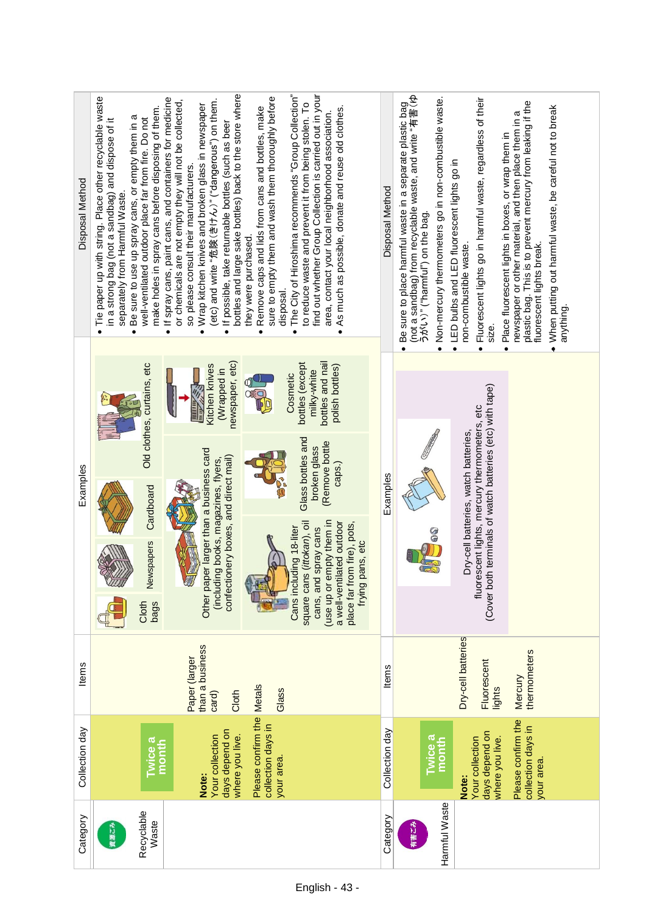| Disposal Method | Tie paper up with string. Place other recyclable waste<br>make holes in spray cans before disposing of them.<br>Be sure to use up spray cans, or empty them in a<br>well-ventilated outdoor place far from fire. Do not<br>in a strong bag (not a sandbag) and dispose of it<br>separately from Harmful Waste.<br>$\bullet$ | bottles and large sake bottles) back to the store where<br>find out whether Group Collection is carried out in your<br>The City of Hiroshima recommends "Group Collection"<br>sure to empty them and wash them thoroughly before<br>If spray cans, paint cans, and containers for medicine<br>(etc) and write "危険(きけん)" ("dangerous") on them.<br>or chemicals are not empty they will not be collected,<br>to reduce waste and prevent it from being stolen. To<br>Wrap kitchen knives and broken glass in newspaper<br>Remove caps and lids from cans and bottles, make<br>As much as possible, donate and reuse old clothes.<br>area, contact your local neighborhood association.<br>If possible, take returnable bottles (such as beer<br>so please consult their manufacturers.<br>they were purchased.<br>disposal.<br>$\bullet$<br>$\bullet$<br>$\bullet$<br>$\bullet$<br>$\bullet$<br>$\bullet$ | Disposal Method | Be sure to place harmful waste in a separate plastic bag<br>(not a sandbag) from recyclable waste, and write "有害 (ゆ<br>. Non-mercury thermometers go in non-combustible waste.<br>うがい)" ("harmful") on the bag. | Fluorescent lights go in harmful waste, regardless of their<br>Place fluorescent lights in boxes, or wrap them in<br>LED bulbs and LED fluorescent lights go in<br>non-combustible waste.<br>size.<br>$\bullet$<br>$\bullet$ | plastic bag. This is to prevent mercury from leaking if the<br>When putting out harmful waste, be careful not to break<br>newspaper or other material, and then place them in a<br>fluorescent lights break.<br>anything |
|-----------------|-----------------------------------------------------------------------------------------------------------------------------------------------------------------------------------------------------------------------------------------------------------------------------------------------------------------------------|----------------------------------------------------------------------------------------------------------------------------------------------------------------------------------------------------------------------------------------------------------------------------------------------------------------------------------------------------------------------------------------------------------------------------------------------------------------------------------------------------------------------------------------------------------------------------------------------------------------------------------------------------------------------------------------------------------------------------------------------------------------------------------------------------------------------------------------------------------------------------------------------------------|-----------------|-----------------------------------------------------------------------------------------------------------------------------------------------------------------------------------------------------------------|------------------------------------------------------------------------------------------------------------------------------------------------------------------------------------------------------------------------------|--------------------------------------------------------------------------------------------------------------------------------------------------------------------------------------------------------------------------|
| Examples        | Old clothes, curtains, etc<br>Cardboard<br>Newspapers<br>Cloth<br>bags                                                                                                                                                                                                                                                      | newspaper, etc)<br>bottles and nail<br>bottles (except<br>Kitchen knives<br>polish bottles)<br>(Wrapped in<br>milky-white<br>Cosmetic<br><b>Attilli</b><br><b>Thum</b><br>Glass bottles and<br>(Remove bottle<br>broken glass<br>Other paper larger than a business card<br>confectionery boxes, and direct mail)<br>(including books, magazines, flyers,<br>caps.)<br>(use up or empty them in<br>a well-ventilated outdoor<br>place far from fire), pots,<br>square cans (ittokan), oil<br>Cans including 18-liter<br>cans, and spray cans<br>frying pans, etc                                                                                                                                                                                                                                                                                                                                         | Examples        |                                                                                                                                                                                                                 | (Cover both terminals of watch batteries (etc) with tape)<br>fluorescent lights, mercury thermometers, etc<br>Dry-cell batteries, watch batteries,                                                                           |                                                                                                                                                                                                                          |
| Items           |                                                                                                                                                                                                                                                                                                                             | than a business<br>Paper (larger<br>Glass<br>Cloth<br>card)                                                                                                                                                                                                                                                                                                                                                                                                                                                                                                                                                                                                                                                                                                                                                                                                                                              | Items           |                                                                                                                                                                                                                 | Dry-cell batteries<br>Fluorescent<br>lights                                                                                                                                                                                  | thermometers<br>Mercury                                                                                                                                                                                                  |
| Collection day  | <b>Iwice a</b><br>month                                                                                                                                                                                                                                                                                                     | Please confirm the Metals<br>collection days in<br>days depend on<br>where you live.<br>Your collection<br>your area.<br>Note:                                                                                                                                                                                                                                                                                                                                                                                                                                                                                                                                                                                                                                                                                                                                                                           | Collection day  | <b>Iwice a</b><br>month                                                                                                                                                                                         | days depend on<br>Your collection<br>where you live.<br>Note:                                                                                                                                                                | Please confirm the<br>collection days in<br>your area.                                                                                                                                                                   |
| Category        | Recyclable<br>Waste<br>資源ごみ                                                                                                                                                                                                                                                                                                 |                                                                                                                                                                                                                                                                                                                                                                                                                                                                                                                                                                                                                                                                                                                                                                                                                                                                                                          | Category        | Harmful Waste<br>有害ごみ                                                                                                                                                                                           |                                                                                                                                                                                                                              |                                                                                                                                                                                                                          |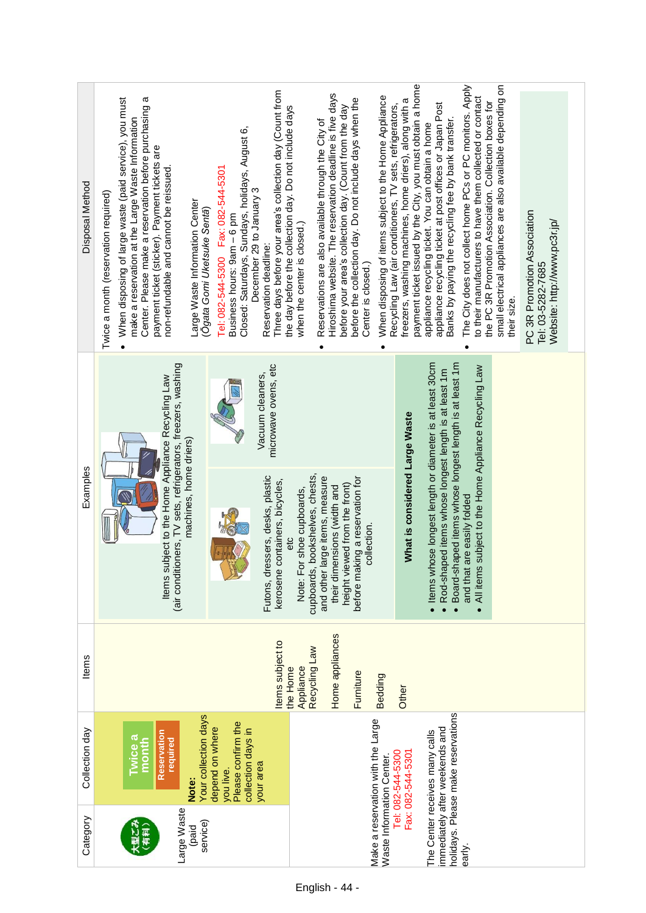| Disposal Method | Three days before your area's collection day (Count from<br>When disposing of large waste (paid service), you must<br>ω<br>Center. Please make a reservation before purchasing<br>the day before the collection day. Do not include days<br>make a reservation at the Large Waste Information<br>Closed: Saturdays, Sundays, holidays, August 6,<br>payment ticket (sticker). Payment tickets are<br>Fax: 082-544-5301<br>non-refundable and cannot be reissued<br>December 29 to January 3<br>Twice a month (reservation required)<br>Large Waste Information Center<br>(Ōgata Gomi Uketsuke Sentā)<br>Business hours: 9am - 6 pm<br>when the center is closed.)<br>Reservation deadline:<br>Tel: 082-544-5300 | payment ticket issued by the City, you must obtain a home<br>small electrical appliances are also available depending on<br>The City does not collect home PCs or PC monitors. Apply<br>Hiroshima website. The reservation deadline is five days<br>When disposing of items subject to the Home Appliance<br>to their manufacturers to have them collected or contact<br>before the collection day. Do not include days when the<br>freezers, washing machines, home driers), along with a<br>the PC 3R Promotion Association. Collection boxes for<br>appliance recycling ticket at post offices or Japan Post<br>Recycling Law (air conditioners, TV sets, refrigerators,<br>before your area's collection day. (Count from the day<br>Banks by paying the recycling fee by bank transfer.<br>Reservations are also available through the City of<br>appliance recycling ticket. You can obtain a home<br>PC 3R Promotion Association<br>Website: http://www.pc3r.jp/<br>Center is closed.)<br>Tel: 03-5282-7685<br>their size.<br>$\bullet$ |
|-----------------|-----------------------------------------------------------------------------------------------------------------------------------------------------------------------------------------------------------------------------------------------------------------------------------------------------------------------------------------------------------------------------------------------------------------------------------------------------------------------------------------------------------------------------------------------------------------------------------------------------------------------------------------------------------------------------------------------------------------|------------------------------------------------------------------------------------------------------------------------------------------------------------------------------------------------------------------------------------------------------------------------------------------------------------------------------------------------------------------------------------------------------------------------------------------------------------------------------------------------------------------------------------------------------------------------------------------------------------------------------------------------------------------------------------------------------------------------------------------------------------------------------------------------------------------------------------------------------------------------------------------------------------------------------------------------------------------------------------------------------------------------------------------------|
| Examples        | tioners, TV sets, refrigerators, freezers, washing<br>microwave ovens, etc<br>Vacuum cleaners,<br>Items subject to the Home Appliance Recycling Law<br>machines, home driers)<br>essers, desks, plastic<br>containers, bicycles,<br>Note: For shoe cupboards,<br>etc<br>Futons, dr<br>kerosene<br>(air condit                                                                                                                                                                                                                                                                                                                                                                                                   | Items whose longest length or diameter is at least 30cm<br>Board-shaped items whose longest length is at least 1m<br>All items subject to the Home Appliance Recycling Law<br>Rod-shaped items whose longest length is at least 1m<br>What is considered Large Waste<br>cupboards, bookshelves, chests,<br>and other large items, measure<br>before making a reservation for<br>height viewed from the front)<br>their dimensions (width and<br>are easily folded<br>collection.<br>and that                                                                                                                                                                                                                                                                                                                                                                                                                                                                                                                                                   |
| Items           | ltems subject to<br>Appliance<br>the Home                                                                                                                                                                                                                                                                                                                                                                                                                                                                                                                                                                                                                                                                       | Home appliances<br>Recycling Law<br>Furniture<br><b>Bedding</b><br>Other                                                                                                                                                                                                                                                                                                                                                                                                                                                                                                                                                                                                                                                                                                                                                                                                                                                                                                                                                                       |
| Collection day  | Your collection days<br>Please confirm the<br>depend on where<br>collection days in<br>Reservation<br><b>Evice a</b><br>required<br>month<br>your area<br>you live.<br>Note:                                                                                                                                                                                                                                                                                                                                                                                                                                                                                                                                    | holidays. Please make reservations<br>Make a reservation with the Large<br>immediately after weekends and<br>The Center receives many calls<br>Fax: 082-544-5301<br>Tel: 082-544-5300                                                                                                                                                                                                                                                                                                                                                                                                                                                                                                                                                                                                                                                                                                                                                                                                                                                          |
| Category        | Large Waste<br>service)<br>(paid<br>采用                                                                                                                                                                                                                                                                                                                                                                                                                                                                                                                                                                                                                                                                          | Waste Information Center.<br>early.                                                                                                                                                                                                                                                                                                                                                                                                                                                                                                                                                                                                                                                                                                                                                                                                                                                                                                                                                                                                            |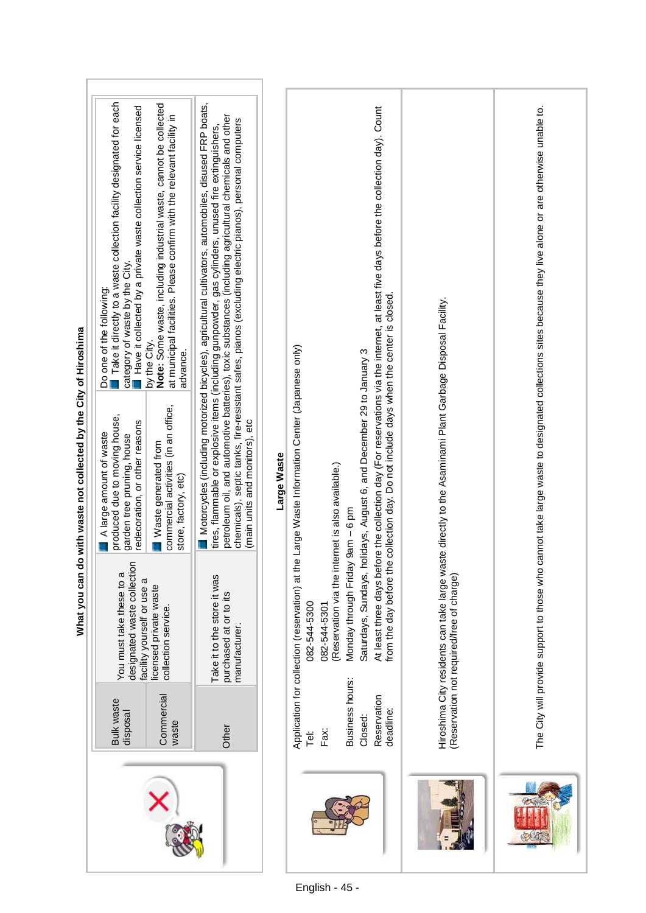|                               | What you can                                                                          | do with waste not collected by the City of Hiroshima                                                                     |                                                                                                                                                                                                                                                                                                                                                                                                                                    |  |
|-------------------------------|---------------------------------------------------------------------------------------|--------------------------------------------------------------------------------------------------------------------------|------------------------------------------------------------------------------------------------------------------------------------------------------------------------------------------------------------------------------------------------------------------------------------------------------------------------------------------------------------------------------------------------------------------------------------|--|
| <b>Bulk waste</b><br>disposal | designated waste collection<br>You must take these to a<br>facility yourself or use a | produced due to moving house,<br>redecoration, or other reasons<br>A large amount of waste<br>garden tree pruning, house | Take it directly to a waste collection facility designated for each<br>Have it collected by a private waste collection service licensed<br>category of waste by the City.<br>Do one of the following:                                                                                                                                                                                                                              |  |
| Commercial<br>waste           | licensed private waste<br>collection service.                                         | commercial activities (in an office,<br>Waste generated from<br>store, factory, etc)                                     | Note: Some waste, including industrial waste, cannot be collected<br>at municipal facilities. Please confirm with the relevant facility in<br>by the City.<br>advance.                                                                                                                                                                                                                                                             |  |
| Other                         | Take it to the store it was<br>purchased at or to its<br>manufacturer                 | (main units and monitors), etc                                                                                           | l Motorcycles (including motorized bicycles), agricultural cultivators, automobiles, disused FRP boats,<br>petroleum oil, and automotive batteries), toxic substances (including agricultural chemicals and other<br>chemicals), septic tanks, fire-resistant safes, pianos (excluding electric pianos), personal computers<br>tires, flammable or explosive items (including gunpowder, gas cylinders, unused fire extinguishers, |  |
|                               |                                                                                       | Large Waste                                                                                                              |                                                                                                                                                                                                                                                                                                                                                                                                                                    |  |
| Fax:<br>je<br>F               | Application for collection (reservation) at<br>082-544-5300<br>082-544-5301           | the Large Waste Information Center (Japanese only)                                                                       |                                                                                                                                                                                                                                                                                                                                                                                                                                    |  |
| Business hours:<br>Closed:    | Monday through Friday 9am - 6 pm<br>(Reservation via the                              | Saturdays, Sundays, holidays, August 6, and December 29 to January 3<br>internet is also available.)                     |                                                                                                                                                                                                                                                                                                                                                                                                                                    |  |
| Reservation<br>deadline:      | from the day before                                                                   | the collection day. Do not include days when the center is closed                                                        | At least three days before the collection day (For reservations via the internet, at least five days before the collection day). Count                                                                                                                                                                                                                                                                                             |  |
|                               | (Reservation not required/free of charge)<br>Hiroshima City residents can take large  | waste directly to the Asaminami Plant Garbage Disposal Facility.                                                         |                                                                                                                                                                                                                                                                                                                                                                                                                                    |  |

ľ

The City will provide support to those who cannot take large waste to designated collections sites because they live alone or are otherwise unable to.

The City will provide support to those who cannot take large waste to designated collections sites because they live alone or are otherwise unable to.

COL